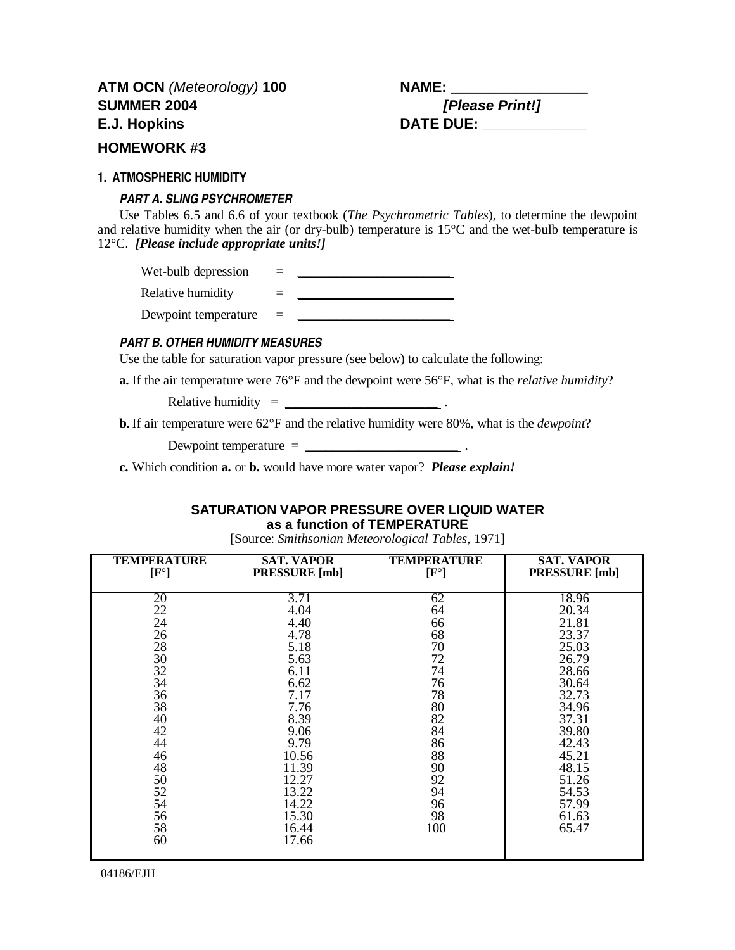## **HOMEWORK #3**

### **1. ATMOSPHERIC HUMIDITY**

## *PART A. SLING PSYCHROMETER*

Use Tables 6.5 and 6.6 of your textbook (*The Psychrometric Tables*), to determine the dewpoint and relative humidity when the air (or dry-bulb) temperature is 15°C and the wet-bulb temperature is 12°C. *[Please include appropriate units!]*

Wet-bulb depression  $=$ Relative humidity  $=$ Dewpoint temperature = \_

## *PART B. OTHER HUMIDITY MEASURES*

Use the table for saturation vapor pressure (see below) to calculate the following:

**a.** If the air temperature were 76°F and the dewpoint were 56°F, what is the *relative humidity*?

Relative humidity = **\_\_\_\_\_\_\_\_\_\_\_\_\_\_\_\_\_\_\_\_\_\_\_** .

**b.** If air temperature were 62°F and the relative humidity were 80%, what is the *dewpoint*?

Dewpoint temperature = **\_\_\_\_\_\_\_\_\_\_\_\_\_\_\_\_\_\_\_\_\_\_\_** .

**c.** Which condition **a.** or **b.** would have more water vapor? *Please explain!*

## **SATURATION VAPOR PRESSURE OVER LIQUID WATER as a function of TEMPERATURE**

[Source: *Smithsonian Meteorological Tables,* 1971]

| <b>TEMPERATURE</b> | <b>SAT. VAPOR</b>    | <b>TEMPERATURE</b> | <b>SAT. VAPOR</b>    |
|--------------------|----------------------|--------------------|----------------------|
| $[F^{\circ}]$      | <b>PRESSURE</b> [mb] | $[F^{\circ}]$      | <b>PRESSURE</b> [mb] |
| 20                 | 3.71                 | 62                 | 18.96                |
| 22                 | 4.04                 | 64                 | 20.34                |
| 24                 | 4.40                 | 66                 | 21.81                |
| 26                 | 4.78                 | 68                 | 23.37                |
| 28                 | 5.18                 | 70                 | 25.03                |
| 30                 | 5.63                 | 72                 | 26.79                |
| 32<br>34           | 6.11                 | 74                 | 28.66                |
| 36                 | 6.62<br>7.17         | 76<br>78           | 30.64<br>32.73       |
| 38                 | 7.76                 | 80                 | 34.96                |
| 40                 | 8.39                 | 82                 | 37.31                |
| 42                 | 9.06                 | 84                 | 39.80                |
| 44                 | 9.79                 | 86                 | 42.43                |
| 46                 | 10.56                | 88                 | 45.21                |
| 48                 | 11.39                | 90                 | 48.15                |
| 50                 | 12.27                | 92                 | 51.26                |
| 52                 | 13.22                | 94                 | 54.53                |
| 54                 | 14.22                | 96<br>98           | 57.99                |
| 56<br>58           | 15.30<br>16.44       | 100                | 61.63<br>65.47       |
| 60                 | 17.66                |                    |                      |
|                    |                      |                    |                      |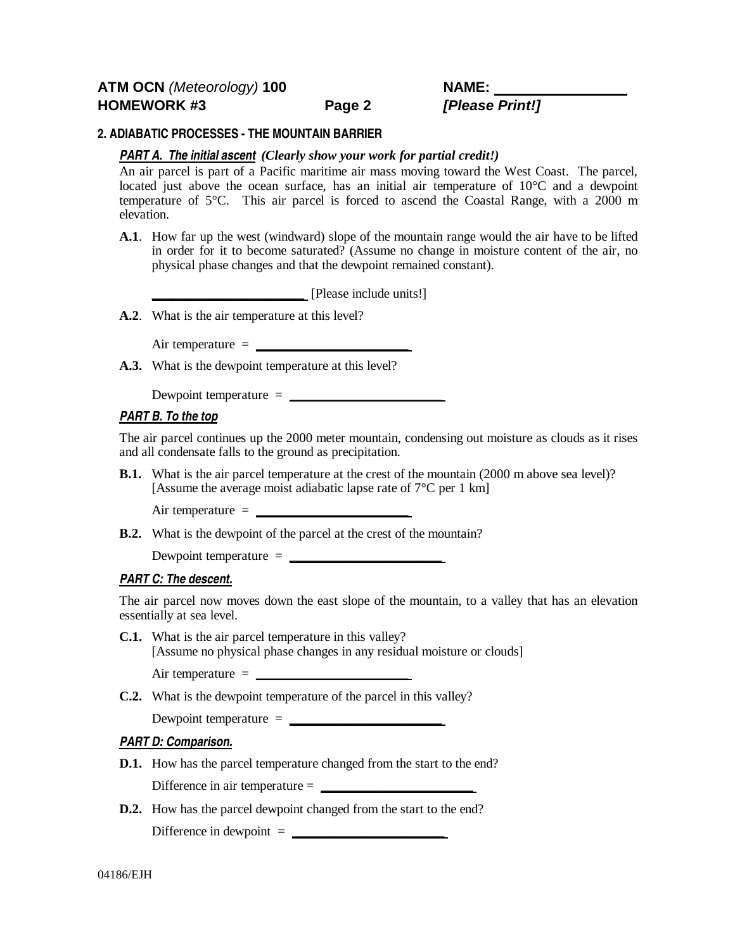## **2. ADIABATIC PROCESSES - THE MOUNTAIN BARRIER**

### *PART A. The initial ascent (Clearly show your work for partial credit!)*

An air parcel is part of a Pacific maritime air mass moving toward the West Coast. The parcel, located just above the ocean surface, has an initial air temperature of  $10^{\circ}$ C and a dewpoint temperature of 5°C. This air parcel is forced to ascend the Coastal Range, with a 2000 m elevation.

**A.1**. How far up the west (windward) slope of the mountain range would the air have to be lifted in order for it to become saturated? (Assume no change in moisture content of the air, no physical phase changes and that the dewpoint remained constant).

**\_\_\_\_\_\_\_\_\_\_\_\_\_\_\_\_\_\_\_\_\_\_\_** [Please include units!]

**A.2**. What is the air temperature at this level?

Air temperature = **\_\_\_\_\_\_\_\_\_\_\_\_\_\_\_\_\_\_\_\_\_\_\_**

**A.3.** What is the dewpoint temperature at this level?

Dewpoint temperature = **\_\_\_\_\_\_\_\_\_\_\_\_\_\_\_\_\_\_\_\_\_\_\_**

### *PART B. To the top*

The air parcel continues up the 2000 meter mountain, condensing out moisture as clouds as it rises and all condensate falls to the ground as precipitation.

**B.1.** What is the air parcel temperature at the crest of the mountain (2000 m above sea level)? [Assume the average moist adiabatic lapse rate of 7°C per 1 km]

Air temperature = **\_\_\_\_\_\_\_\_\_\_\_\_\_\_\_\_\_\_\_\_\_\_\_**

**B.2.** What is the dewpoint of the parcel at the crest of the mountain?

Dewpoint temperature = **\_\_\_\_\_\_\_\_\_\_\_\_\_\_\_\_\_\_\_\_\_\_\_**

## *PART C: The descent.*

The air parcel now moves down the east slope of the mountain, to a valley that has an elevation essentially at sea level.

**C.1.** What is the air parcel temperature in this valley? [Assume no physical phase changes in any residual moisture or clouds]

Air temperature = **\_\_\_\_\_\_\_\_\_\_\_\_\_\_\_\_\_\_\_\_\_\_\_**

**C.2.** What is the dewpoint temperature of the parcel in this valley?

Dewpoint temperature = **\_\_\_\_\_\_\_\_\_\_\_\_\_\_\_\_\_\_\_\_\_\_\_**

## *PART D: Comparison.*

- **D.1.** How has the parcel temperature changed from the start to the end? Difference in air temperature = **\_\_\_\_\_\_\_\_\_\_\_\_\_\_\_\_\_\_\_\_\_\_\_**
- **D.2.** How has the parcel dewpoint changed from the start to the end?

 $\text{Difference in dewpoint} = \_$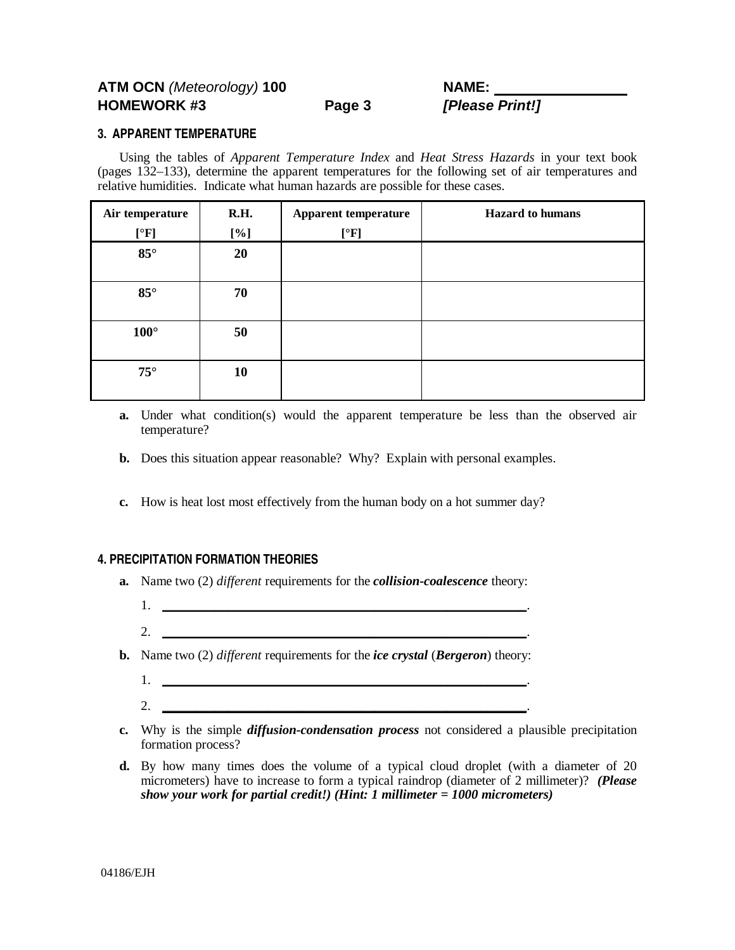# **ATM OCN** (Meteorology) **100 NAME: HOMEWORK #3 Page 3 [Please Print!]**

### **3. APPARENT TEMPERATURE**

Using the tables of *Apparent Temperature Index* and *Heat Stress Hazards* in your text book (pages 132–133), determine the apparent temperatures for the following set of air temperatures and relative humidities. Indicate what human hazards are possible for these cases.

| Air temperature | R.H. | <b>Apparent temperature</b> | <b>Hazard</b> to humans |
|-----------------|------|-----------------------------|-------------------------|
| [°F]            | [%]  | [°F]                        |                         |
| $85^\circ$      | 20   |                             |                         |
|                 |      |                             |                         |
| $85^\circ$      | 70   |                             |                         |
|                 |      |                             |                         |
| $100^{\circ}$   | 50   |                             |                         |
|                 |      |                             |                         |
| $75^\circ$      | 10   |                             |                         |
|                 |      |                             |                         |

- **a.** Under what condition(s) would the apparent temperature be less than the observed air temperature?
- **b.** Does this situation appear reasonable? Why? Explain with personal examples.
- **c.** How is heat lost most effectively from the human body on a hot summer day?

## **4. PRECIPITATION FORMATION THEORIES**

2. **\_\_\_\_\_\_\_\_\_\_\_\_\_\_\_\_\_\_\_\_\_\_\_\_\_\_\_\_\_\_\_\_\_\_\_\_\_\_\_\_\_\_\_\_\_\_\_\_\_\_\_\_\_\_\_**.

- **a.** Name two (2) *different* requirements for the *collision-coalescence* theory:
	- 1. **\_\_\_\_\_\_\_\_\_\_\_\_\_\_\_\_\_\_\_\_\_\_\_\_\_\_\_\_\_\_\_\_\_\_\_\_\_\_\_\_\_\_\_\_\_\_\_\_\_\_\_\_\_\_\_**.
- **b.** Name two (2) *different* requirements for the *ice crystal* (*Bergeron*) theory:
	- 1. **\_\_\_\_\_\_\_\_\_\_\_\_\_\_\_\_\_\_\_\_\_\_\_\_\_\_\_\_\_\_\_\_\_\_\_\_\_\_\_\_\_\_\_\_\_\_\_\_\_\_\_\_\_\_\_**.
	- 2. **\_\_\_\_\_\_\_\_\_\_\_\_\_\_\_\_\_\_\_\_\_\_\_\_\_\_\_\_\_\_\_\_\_\_\_\_\_\_\_\_\_\_\_\_\_\_\_\_\_\_\_\_\_\_\_**.
- **c.** Why is the simple *diffusion-condensation process* not considered a plausible precipitation formation process?
- **d.** By how many times does the volume of a typical cloud droplet (with a diameter of 20 micrometers) have to increase to form a typical raindrop (diameter of 2 millimeter)? *(Please show your work for partial credit!) (Hint: 1 millimeter = 1000 micrometers)*